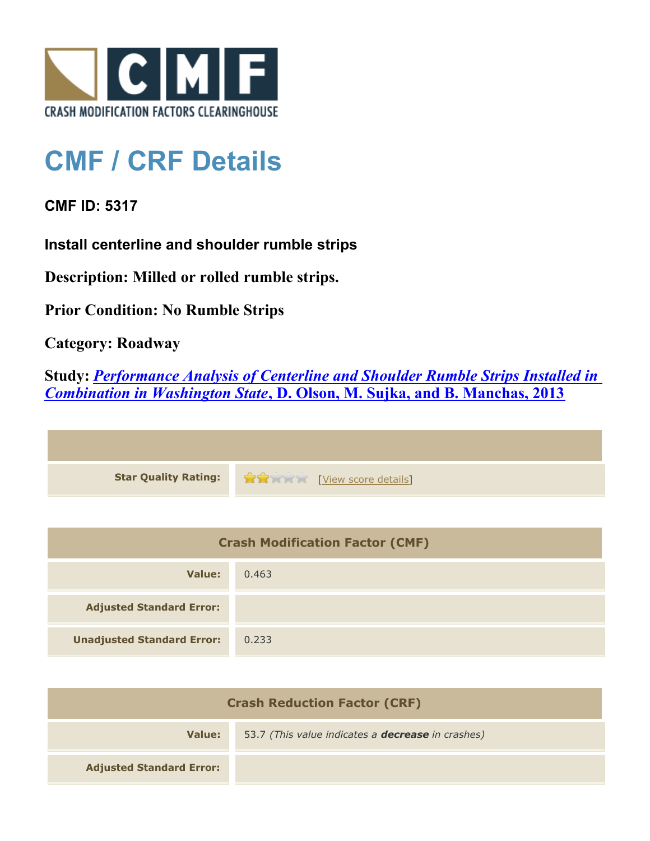

## **CMF / CRF Details**

**CMF ID: 5317**

**Install centerline and shoulder rumble strips**

**Description: Milled or rolled rumble strips.**

**Prior Condition: No Rumble Strips**

**Category: Roadway**

**Study:** *[Performance Analysis of Centerline and Shoulder Rumble Strips Installed in](http://www.cmfclearinghouse.org/study_detail.cfm?stid=334) [Combination in Washington State](http://www.cmfclearinghouse.org/study_detail.cfm?stid=334)***[, D. Olson, M. Sujka, and B. Manchas, 2013](http://www.cmfclearinghouse.org/study_detail.cfm?stid=334)**



| <b>Crash Modification Factor (CMF)</b> |       |
|----------------------------------------|-------|
| Value:                                 | 0.463 |
| <b>Adjusted Standard Error:</b>        |       |
| <b>Unadjusted Standard Error:</b>      | 0.233 |

| <b>Crash Reduction Factor (CRF)</b> |                                                          |
|-------------------------------------|----------------------------------------------------------|
| Value:                              | 53.7 (This value indicates a <b>decrease</b> in crashes) |
| <b>Adjusted Standard Error:</b>     |                                                          |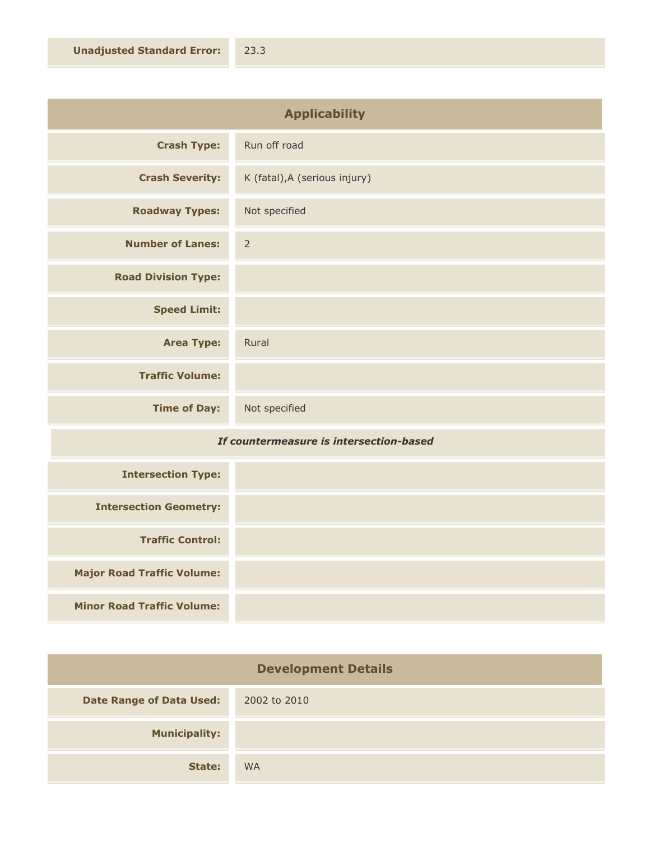| <b>Applicability</b>       |                               |
|----------------------------|-------------------------------|
| <b>Crash Type:</b>         | Run off road                  |
| <b>Crash Severity:</b>     | K (fatal), A (serious injury) |
| <b>Roadway Types:</b>      | Not specified                 |
| <b>Number of Lanes:</b>    | $\overline{2}$                |
| <b>Road Division Type:</b> |                               |
| <b>Speed Limit:</b>        |                               |
| <b>Area Type:</b>          | Rural                         |
| <b>Traffic Volume:</b>     |                               |
| <b>Time of Day:</b>        | Not specified                 |

## *If countermeasure is intersection-based*

| <b>Intersection Type:</b>         |  |
|-----------------------------------|--|
| <b>Intersection Geometry:</b>     |  |
| <b>Traffic Control:</b>           |  |
| <b>Major Road Traffic Volume:</b> |  |
| <b>Minor Road Traffic Volume:</b> |  |

| <b>Development Details</b>      |              |
|---------------------------------|--------------|
| <b>Date Range of Data Used:</b> | 2002 to 2010 |
| <b>Municipality:</b>            |              |
| State:                          | <b>WA</b>    |